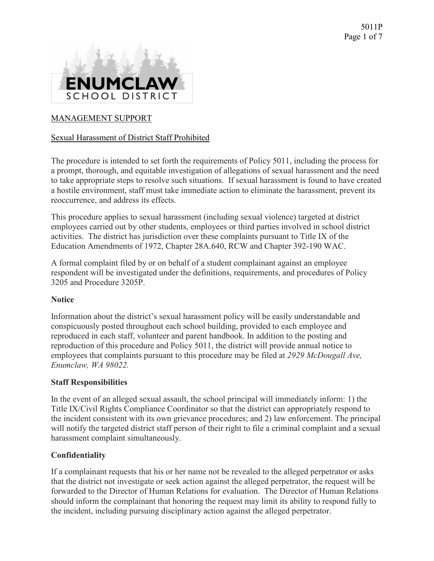5011P Page 1 of 7



## MANAGEMENT SUPPORT

## Sexual Harassment of District Staff Prohibited

The procedure is intended to set forth the requirements of Policy 5011, including the process for a prompt, thorough, and equitable investigation of allegations of sexual harassment and the need to take appropriate steps to resolve such situations. If sexual harassment is found to have created a hostile environment, staff must take immediate action to eliminate the harassment, prevent its reoccurrence, and address its effects.

This procedure applies to sexual harassment (including sexual violence) targeted at district employees carried out by other students, employees or third parties involved in school district activities. The district has jurisdiction over these complaints pursuant to Title IX of the Education Amendments of 1972, Chapter 28A.640, RCW and Chapter 392-190 WAC.

A formal complaint filed by or on behalf of a student complainant against an employee respondent will be investigated under the definitions, requirements, and procedures of Policy 3205 and Procedure 3205P.

#### **Notice**

Information about the district's sexual harassment policy will be easily understandable and conspicuously posted throughout each school building, provided to each employee and reproduced in each staff, volunteer and parent handbook. In addition to the posting and reproduction of this procedure and Policy 5011, the district will provide annual notice to employees that complaints pursuant to this procedure may be filed at *2929 McDougall Ave, Enumclaw, WA 98022.*

#### **Staff Responsibilities**

In the event of an alleged sexual assault, the school principal will immediately inform: 1) the Title IX/Civil Rights Compliance Coordinator so that the district can appropriately respond to the incident consistent with its own grievance procedures; and 2) law enforcement. The principal will notify the targeted district staff person of their right to file a criminal complaint and a sexual harassment complaint simultaneously.

#### **Confidentiality**

If a complainant requests that his or her name not be revealed to the alleged perpetrator or asks that the district not investigate or seek action against the alleged perpetrator, the request will be forwarded to the Director of Human Relations for evaluation. The Director of Human Relations should inform the complainant that honoring the request may limit its ability to respond fully to the incident, including pursuing disciplinary action against the alleged perpetrator.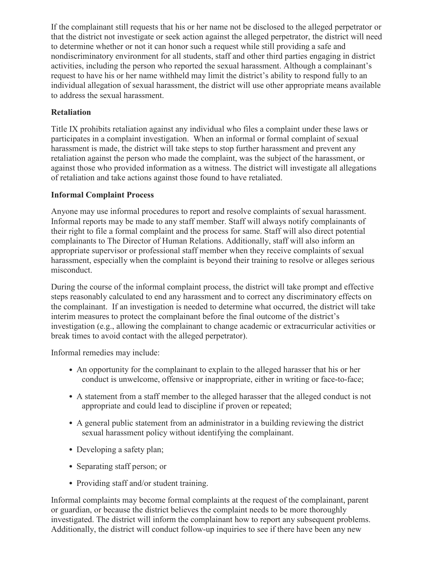If the complainant still requests that his or her name not be disclosed to the alleged perpetrator or that the district not investigate or seek action against the alleged perpetrator, the district will need to determine whether or not it can honor such a request while still providing a safe and nondiscriminatory environment for all students, staff and other third parties engaging in district activities, including the person who reported the sexual harassment. Although a complainant's request to have his or her name withheld may limit the district's ability to respond fully to an individual allegation of sexual harassment, the district will use other appropriate means available to address the sexual harassment.

# **Retaliation**

Title IX prohibits retaliation against any individual who files a complaint under these laws or participates in a complaint investigation. When an informal or formal complaint of sexual harassment is made, the district will take steps to stop further harassment and prevent any retaliation against the person who made the complaint, was the subject of the harassment, or against those who provided information as a witness. The district will investigate all allegations of retaliation and take actions against those found to have retaliated.

# **Informal Complaint Process**

Anyone may use informal procedures to report and resolve complaints of sexual harassment. Informal reports may be made to any staff member. Staff will always notify complainants of their right to file a formal complaint and the process for same. Staff will also direct potential complainants to The Director of Human Relations. Additionally, staff will also inform an appropriate supervisor or professional staff member when they receive complaints of sexual harassment, especially when the complaint is beyond their training to resolve or alleges serious misconduct.

During the course of the informal complaint process, the district will take prompt and effective steps reasonably calculated to end any harassment and to correct any discriminatory effects on the complainant. If an investigation is needed to determine what occurred, the district will take interim measures to protect the complainant before the final outcome of the district's investigation (e.g., allowing the complainant to change academic or extracurricular activities or break times to avoid contact with the alleged perpetrator).

Informal remedies may include:

- An opportunity for the complainant to explain to the alleged harasser that his or her conduct is unwelcome, offensive or inappropriate, either in writing or face-to-face;
- A statement from a staff member to the alleged harasser that the alleged conduct is not appropriate and could lead to discipline if proven or repeated;
- A general public statement from an administrator in a building reviewing the district sexual harassment policy without identifying the complainant.
- Developing a safety plan;
- Separating staff person; or
- Providing staff and/or student training.

Informal complaints may become formal complaints at the request of the complainant, parent or guardian, or because the district believes the complaint needs to be more thoroughly investigated. The district will inform the complainant how to report any subsequent problems. Additionally, the district will conduct follow-up inquiries to see if there have been any new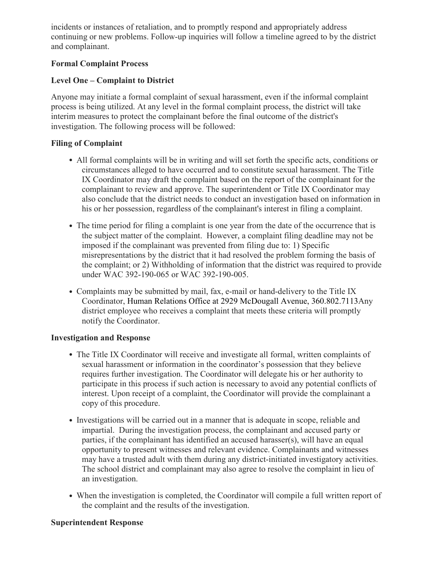incidents or instances of retaliation, and to promptly respond and appropriately address continuing or new problems. Follow-up inquiries will follow a timeline agreed to by the district and complainant.

# **Formal Complaint Process**

# **Level One – Complaint to District**

Anyone may initiate a formal complaint of sexual harassment, even if the informal complaint process is being utilized. At any level in the formal complaint process, the district will take interim measures to protect the complainant before the final outcome of the district's investigation. The following process will be followed:

# **Filing of Complaint**

- All formal complaints will be in writing and will set forth the specific acts, conditions or circumstances alleged to have occurred and to constitute sexual harassment. The Title IX Coordinator may draft the complaint based on the report of the complainant for the complainant to review and approve. The superintendent or Title IX Coordinator may also conclude that the district needs to conduct an investigation based on information in his or her possession, regardless of the complainant's interest in filing a complaint.
- The time period for filing a complaint is one year from the date of the occurrence that is the subject matter of the complaint. However, a complaint filing deadline may not be imposed if the complainant was prevented from filing due to: 1) Specific misrepresentations by the district that it had resolved the problem forming the basis of the complaint; or 2) Withholding of information that the district was required to provide under WAC 392-190-065 or WAC 392-190-005.
- Complaints may be submitted by mail, fax, e-mail or hand-delivery to the Title IX Coordinator, Human Relations Office at 2929 McDougall Avenue, 360.802.7113Any district employee who receives a complaint that meets these criteria will promptly notify the Coordinator.

#### **Investigation and Response**

- The Title IX Coordinator will receive and investigate all formal, written complaints of sexual harassment or information in the coordinator's possession that they believe requires further investigation. The Coordinator will delegate his or her authority to participate in this process if such action is necessary to avoid any potential conflicts of interest. Upon receipt of a complaint, the Coordinator will provide the complainant a copy of this procedure.
- Investigations will be carried out in a manner that is adequate in scope, reliable and impartial. During the investigation process, the complainant and accused party or parties, if the complainant has identified an accused harasser(s), will have an equal opportunity to present witnesses and relevant evidence. Complainants and witnesses may have a trusted adult with them during any district-initiated investigatory activities. The school district and complainant may also agree to resolve the complaint in lieu of an investigation.
- When the investigation is completed, the Coordinator will compile a full written report of the complaint and the results of the investigation.

#### **Superintendent Response**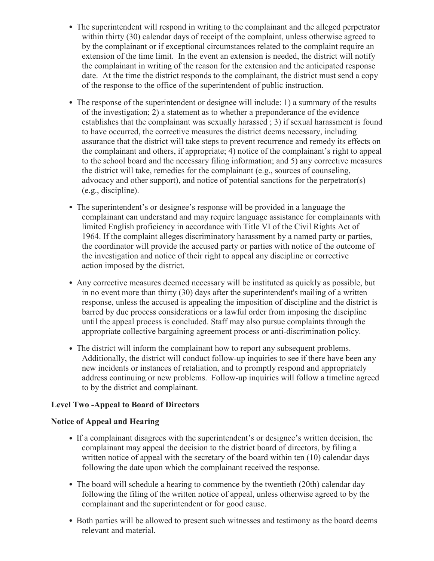- The superintendent will respond in writing to the complainant and the alleged perpetrator within thirty (30) calendar days of receipt of the complaint, unless otherwise agreed to by the complainant or if exceptional circumstances related to the complaint require an extension of the time limit. In the event an extension is needed, the district will notify the complainant in writing of the reason for the extension and the anticipated response date. At the time the district responds to the complainant, the district must send a copy of the response to the office of the superintendent of public instruction.
- The response of the superintendent or designee will include: 1) a summary of the results of the investigation; 2) a statement as to whether a preponderance of the evidence establishes that the complainant was sexually harassed ; 3) if sexual harassment is found to have occurred, the corrective measures the district deems necessary, including assurance that the district will take steps to prevent recurrence and remedy its effects on the complainant and others, if appropriate; 4) notice of the complainant's right to appeal to the school board and the necessary filing information; and 5) any corrective measures the district will take, remedies for the complainant (e.g., sources of counseling, advocacy and other support), and notice of potential sanctions for the perpetrator(s) (e.g., discipline).
- The superintendent's or designee's response will be provided in a language the complainant can understand and may require language assistance for complainants with limited English proficiency in accordance with Title VI of the Civil Rights Act of 1964. If the complaint alleges discriminatory harassment by a named party or parties, the coordinator will provide the accused party or parties with notice of the outcome of the investigation and notice of their right to appeal any discipline or corrective action imposed by the district.
- Any corrective measures deemed necessary will be instituted as quickly as possible, but in no event more than thirty (30) days after the superintendent's mailing of a written response, unless the accused is appealing the imposition of discipline and the district is barred by due process considerations or a lawful order from imposing the discipline until the appeal process is concluded. Staff may also pursue complaints through the appropriate collective bargaining agreement process or anti-discrimination policy.
- The district will inform the complainant how to report any subsequent problems. Additionally, the district will conduct follow-up inquiries to see if there have been any new incidents or instances of retaliation, and to promptly respond and appropriately address continuing or new problems. Follow-up inquiries will follow a timeline agreed to by the district and complainant.

#### **Level Two -Appeal to Board of Directors**

#### **Notice of Appeal and Hearing**

- If a complainant disagrees with the superintendent's or designee's written decision, the complainant may appeal the decision to the district board of directors, by filing a written notice of appeal with the secretary of the board within ten (10) calendar days following the date upon which the complainant received the response.
- The board will schedule a hearing to commence by the twentieth (20th) calendar day following the filing of the written notice of appeal, unless otherwise agreed to by the complainant and the superintendent or for good cause.
- Both parties will be allowed to present such witnesses and testimony as the board deems relevant and material.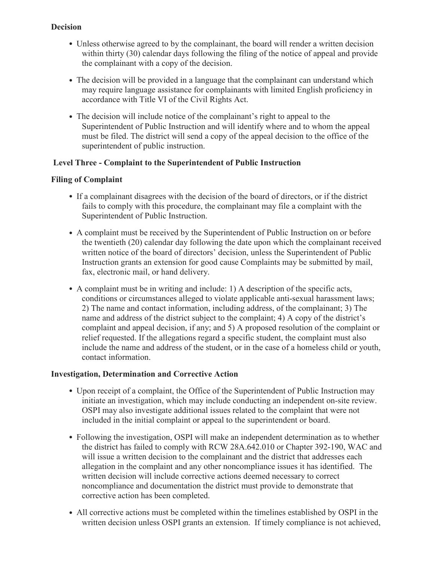#### **Decision**

- Unless otherwise agreed to by the complainant, the board will render a written decision within thirty (30) calendar days following the filing of the notice of appeal and provide the complainant with a copy of the decision.
- The decision will be provided in a language that the complainant can understand which may require language assistance for complainants with limited English proficiency in accordance with Title VI of the Civil Rights Act.
- The decision will include notice of the complainant's right to appeal to the Superintendent of Public Instruction and will identify where and to whom the appeal must be filed. The district will send a copy of the appeal decision to the office of the superintendent of public instruction.

# **Level Three - Complaint to the Superintendent of Public Instruction**

# **Filing of Complaint**

- If a complainant disagrees with the decision of the board of directors, or if the district fails to comply with this procedure, the complainant may file a complaint with the Superintendent of Public Instruction.
- A complaint must be received by the Superintendent of Public Instruction on or before the twentieth (20) calendar day following the date upon which the complainant received written notice of the board of directors' decision, unless the Superintendent of Public Instruction grants an extension for good cause Complaints may be submitted by mail, fax, electronic mail, or hand delivery.
- A complaint must be in writing and include: 1) A description of the specific acts, conditions or circumstances alleged to violate applicable anti-sexual harassment laws; 2) The name and contact information, including address, of the complainant; 3) The name and address of the district subject to the complaint; 4) A copy of the district's complaint and appeal decision, if any; and 5) A proposed resolution of the complaint or relief requested. If the allegations regard a specific student, the complaint must also include the name and address of the student, or in the case of a homeless child or youth, contact information.

#### **Investigation, Determination and Corrective Action**

- Upon receipt of a complaint, the Office of the Superintendent of Public Instruction may initiate an investigation, which may include conducting an independent on-site review. OSPI may also investigate additional issues related to the complaint that were not included in the initial complaint or appeal to the superintendent or board.
- Following the investigation, OSPI will make an independent determination as to whether the district has failed to comply with RCW 28A.642.010 or Chapter 392-190, WAC and will issue a written decision to the complainant and the district that addresses each allegation in the complaint and any other noncompliance issues it has identified. The written decision will include corrective actions deemed necessary to correct noncompliance and documentation the district must provide to demonstrate that corrective action has been completed.
- All corrective actions must be completed within the timelines established by OSPI in the written decision unless OSPI grants an extension. If timely compliance is not achieved,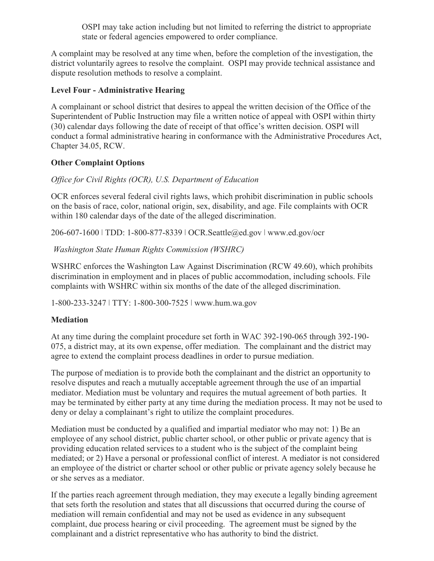OSPI may take action including but not limited to referring the district to appropriate state or federal agencies empowered to order compliance.

A complaint may be resolved at any time when, before the completion of the investigation, the district voluntarily agrees to resolve the complaint. OSPI may provide technical assistance and dispute resolution methods to resolve a complaint.

## **Level Four - Administrative Hearing**

A complainant or school district that desires to appeal the written decision of the Office of the Superintendent of Public Instruction may file a written notice of appeal with OSPI within thirty (30) calendar days following the date of receipt of that office's written decision. OSPI will conduct a formal administrative hearing in conformance with the Administrative Procedures Act, Chapter 34.05, RCW.

# **Other Complaint Options**

# *Office for Civil Rights (OCR), U.S. Department of Education*

OCR enforces several federal civil rights laws, which prohibit discrimination in public schools on the basis of race, color, national origin, sex, disability, and age. File complaints with OCR within 180 calendar days of the date of the alleged discrimination.

206-607-1600 ǀ TDD: 1-800-877-8339 ǀ OCR.Seattle@ed.gov ǀ www.ed.gov/ocr

*Washington State Human Rights Commission (WSHRC)*

WSHRC enforces the Washington Law Against Discrimination (RCW 49.60), which prohibits discrimination in employment and in places of public accommodation, including schools. File complaints with WSHRC within six months of the date of the alleged discrimination.

1-800-233-3247 ǀ TTY: 1-800-300-7525 ǀ www.hum.wa.gov

# **Mediation**

At any time during the complaint procedure set forth in WAC 392-190-065 through 392-190- 075, a district may, at its own expense, offer mediation. The complainant and the district may agree to extend the complaint process deadlines in order to pursue mediation.

The purpose of mediation is to provide both the complainant and the district an opportunity to resolve disputes and reach a mutually acceptable agreement through the use of an impartial mediator. Mediation must be voluntary and requires the mutual agreement of both parties. It may be terminated by either party at any time during the mediation process. It may not be used to deny or delay a complainant's right to utilize the complaint procedures.

Mediation must be conducted by a qualified and impartial mediator who may not: 1) Be an employee of any school district, public charter school, or other public or private agency that is providing education related services to a student who is the subject of the complaint being mediated; or 2) Have a personal or professional conflict of interest. A mediator is not considered an employee of the district or charter school or other public or private agency solely because he or she serves as a mediator.

If the parties reach agreement through mediation, they may execute a legally binding agreement that sets forth the resolution and states that all discussions that occurred during the course of mediation will remain confidential and may not be used as evidence in any subsequent complaint, due process hearing or civil proceeding. The agreement must be signed by the complainant and a district representative who has authority to bind the district.